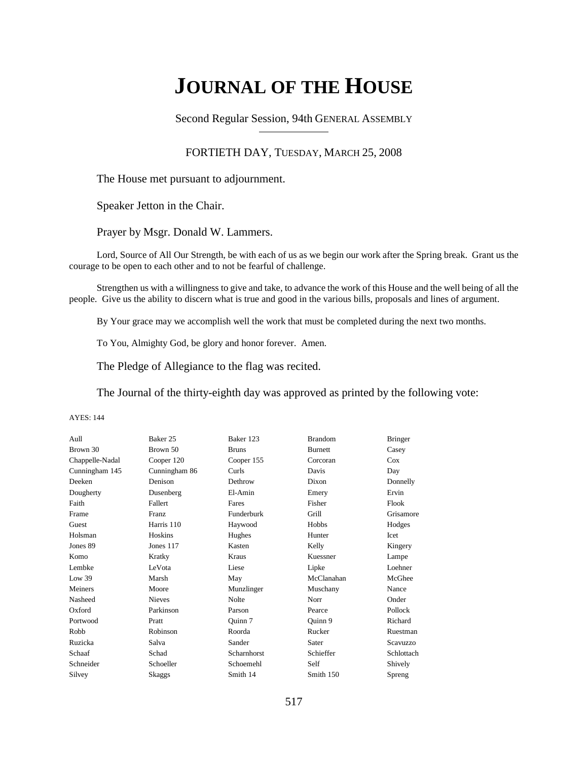# **JOURNAL OF THE HOUSE**

Second Regular Session, 94th GENERAL ASSEMBLY

### FORTIETH DAY, TUESDAY, MARCH 25, 2008

The House met pursuant to adjournment.

Speaker Jetton in the Chair.

Prayer by Msgr. Donald W. Lammers.

Lord, Source of All Our Strength, be with each of us as we begin our work after the Spring break. Grant us the courage to be open to each other and to not be fearful of challenge.

Strengthen us with a willingness to give and take, to advance the work of this House and the well being of all the people. Give us the ability to discern what is true and good in the various bills, proposals and lines of argument.

By Your grace may we accomplish well the work that must be completed during the next two months.

To You, Almighty God, be glory and honor forever. Amen.

The Pledge of Allegiance to the flag was recited.

The Journal of the thirty-eighth day was approved as printed by the following vote:

| Aull            | Baker 25      | Baker 123    | <b>Brandom</b> | <b>Bringer</b>  |
|-----------------|---------------|--------------|----------------|-----------------|
| Brown 30        | Brown 50      | <b>Bruns</b> | <b>Burnett</b> | Casey           |
| Chappelle-Nadal | Cooper 120    | Cooper 155   | Corcoran       | Cox             |
| Cunningham 145  | Cunningham 86 | Curls        | Davis          | Day             |
| Deeken          | Denison       | Dethrow      | Dixon          | Donnelly        |
| Dougherty       | Dusenberg     | El-Amin      | Emery          | Ervin           |
| Faith           | Fallert       | Fares        | Fisher         | Flook           |
| Frame           | Franz         | Funderburk   | Grill          | Grisamore       |
| Guest           | Harris 110    | Haywood      | Hobbs          | Hodges          |
| Holsman         | Hoskins       | Hughes       | Hunter         | Icet            |
| Jones 89        | Jones 117     | Kasten       | Kelly          | Kingery         |
| Komo            | Kratky        | Kraus        | Kuessner       | Lampe           |
| Lembke          | LeVota        | Liese        | Lipke          | Loehner         |
| Low 39          | Marsh         | May          | McClanahan     | McGhee          |
| Meiners         | Moore         | Munzlinger   | Muschany       | Nance           |
| Nasheed         | <b>Nieves</b> | <b>Nolte</b> | Norr           | Onder           |
| Oxford          | Parkinson     | Parson       | Pearce         | Pollock         |
| Portwood        | Pratt         | Quinn 7      | Quinn 9        | Richard         |
| Robb            | Robinson      | Roorda       | Rucker         | Ruestman        |
| Ruzicka         | Salva         | Sander       | Sater          | <b>Scavuzzo</b> |
| Schaaf          | Schad         | Scharnhorst  | Schieffer      | Schlottach      |
| Schneider       | Schoeller     | Schoemehl    | Self           | Shively         |
| Silvey          | <b>Skaggs</b> | Smith 14     | Smith 150      | Spreng          |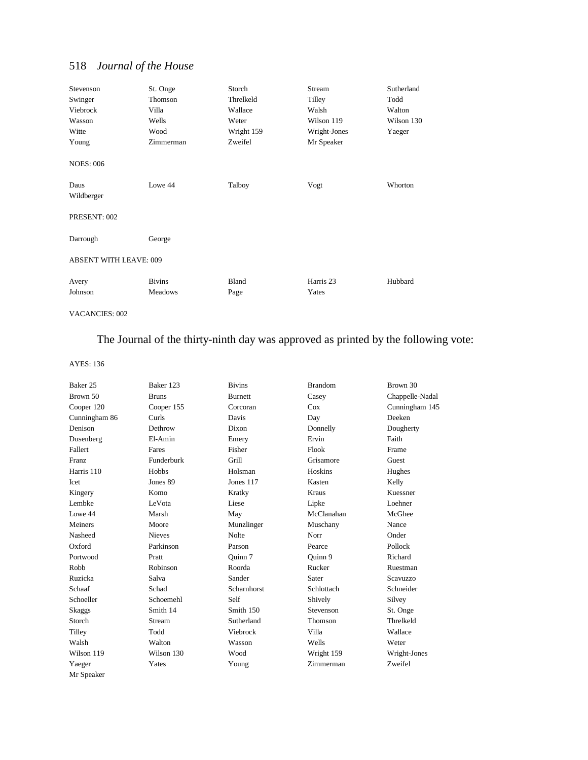| Stevenson                     | St. Onge      | Storch     | Stream       | Sutherland |
|-------------------------------|---------------|------------|--------------|------------|
| Swinger                       | Thomson       | Threlkeld  | Tilley       | Todd       |
| Viebrock                      | Villa         | Wallace    | Walsh        | Walton     |
| Wasson                        | Wells         | Weter      | Wilson 119   | Wilson 130 |
| Witte                         | Wood          | Wright 159 | Wright-Jones | Yaeger     |
| Young                         | Zimmerman     | Zweifel    | Mr Speaker   |            |
| <b>NOES: 006</b>              |               |            |              |            |
| Daus<br>Wildberger            | Lowe 44       | Talboy     | Vogt         | Whorton    |
| PRESENT: 002                  |               |            |              |            |
| Darrough                      | George        |            |              |            |
| <b>ABSENT WITH LEAVE: 009</b> |               |            |              |            |
| Avery                         | <b>Bivins</b> | Bland      | Harris 23    | Hubbard    |
| Johnson                       | Meadows       | Page       | Yates        |            |

VACANCIES: 002

# The Journal of the thirty-ninth day was approved as printed by the following vote:

| Baker 25      | Baker 123     | <b>Bivins</b>      | <b>Brandom</b> | Brown 30        |
|---------------|---------------|--------------------|----------------|-----------------|
| Brown 50      | <b>Bruns</b>  | <b>Burnett</b>     | Casey          | Chappelle-Nadal |
| Cooper 120    | Cooper 155    | Corcoran           | Cox            | Cunningham 145  |
| Cunningham 86 | Curls         | Davis              | Day            | Deeken          |
| Denison       | Dethrow       | Dixon              | Donnelly       | Dougherty       |
| Dusenberg     | El-Amin       | Emery              | Ervin          | Faith           |
| Fallert       | Fares         | Fisher             | Flook          | Frame           |
| <b>Franz</b>  | Funderburk    | Grill              | Grisamore      | Guest           |
| Harris 110    | Hobbs         | Holsman            | Hoskins        | Hughes          |
| Icet          | Jones 89      | Jones 117          | Kasten         | Kelly           |
| Kingery       | Komo          | Kratky             | Kraus          | Kuessner        |
| Lembke        | LeVota        | Liese              | Lipke          | Loehner         |
| Lowe 44       | Marsh         | May                | McClanahan     | McGhee          |
| Meiners       | Moore         | Munzlinger         | Muschany       | Nance           |
| Nasheed       | <b>Nieves</b> | <b>Nolte</b>       | Norr           | Onder           |
| Oxford        | Parkinson     | Parson             | Pearce         | Pollock         |
| Portwood      | Pratt         | Ouinn 7            | Ouinn 9        | Richard         |
| Robb          | Robinson      | Roorda             | Rucker         | Ruestman        |
| Ruzicka       | Salva         | Sander             | Sater          | <b>Scavuzzo</b> |
| Schaaf        | Schad         | <b>Scharnhorst</b> | Schlottach     | Schneider       |
| Schoeller     | Schoemehl     | Self               | Shively        | Silvey          |
| Skaggs        | Smith 14      | Smith 150          | Stevenson      | St. Onge        |
| Storch        | Stream        | Sutherland         | Thomson        | Threlkeld       |
| Tilley        | Todd          | Viebrock           | Villa          | Wallace         |
| Walsh         | Walton        | Wasson             | Wells          | Weter           |
| Wilson 119    | Wilson 130    | Wood               | Wright 159     | Wright-Jones    |
| Yaeger        | Yates         | Young              | Zimmerman      | Zweifel         |
| Mr Speaker    |               |                    |                |                 |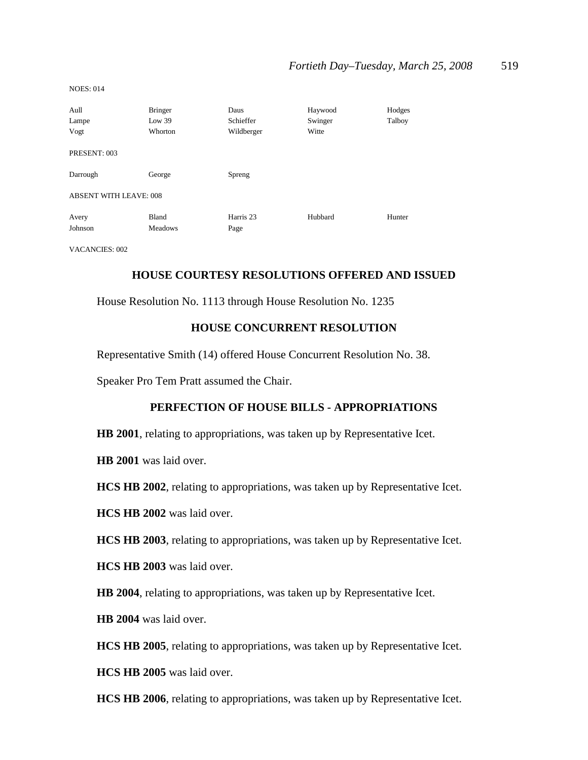| Aull<br>Lampe<br>Vogt         | <b>Bringer</b><br>Low 39<br>Whorton | Daus<br>Schieffer<br>Wildberger | Haywood<br>Swinger<br>Witte | Hodges<br>Talboy |
|-------------------------------|-------------------------------------|---------------------------------|-----------------------------|------------------|
| PRESENT: 003                  |                                     |                                 |                             |                  |
| Darrough                      | George                              | Spreng                          |                             |                  |
| <b>ABSENT WITH LEAVE: 008</b> |                                     |                                 |                             |                  |
| Avery<br>Johnson              | Bland<br><b>Meadows</b>             | Harris 23<br>Page               | Hubbard                     | Hunter           |

VACANCIES: 002

# **HOUSE COURTESY RESOLUTIONS OFFERED AND ISSUED**

House Resolution No. 1113 through House Resolution No. 1235

### **HOUSE CONCURRENT RESOLUTION**

Representative Smith (14) offered House Concurrent Resolution No. 38.

Speaker Pro Tem Pratt assumed the Chair.

# **PERFECTION OF HOUSE BILLS - APPROPRIATIONS**

**HB 2001**, relating to appropriations, was taken up by Representative Icet.

**HB 2001** was laid over.

**HCS HB 2002**, relating to appropriations, was taken up by Representative Icet.

**HCS HB 2002** was laid over.

**HCS HB 2003**, relating to appropriations, was taken up by Representative Icet.

**HCS HB 2003** was laid over.

**HB 2004**, relating to appropriations, was taken up by Representative Icet.

**HB 2004** was laid over.

**HCS HB 2005**, relating to appropriations, was taken up by Representative Icet.

**HCS HB 2005** was laid over.

**HCS HB 2006**, relating to appropriations, was taken up by Representative Icet.

NOES: 014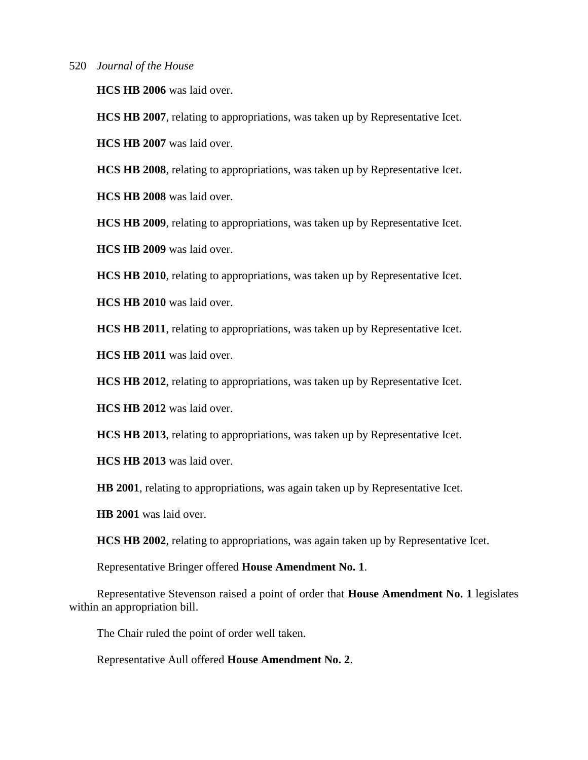**HCS HB 2006** was laid over.

**HCS HB 2007**, relating to appropriations, was taken up by Representative Icet.

**HCS HB 2007** was laid over.

**HCS HB 2008**, relating to appropriations, was taken up by Representative Icet.

**HCS HB 2008** was laid over.

**HCS HB 2009**, relating to appropriations, was taken up by Representative Icet.

**HCS HB 2009** was laid over.

**HCS HB 2010**, relating to appropriations, was taken up by Representative Icet.

**HCS HB 2010** was laid over.

**HCS HB 2011**, relating to appropriations, was taken up by Representative Icet.

**HCS HB 2011** was laid over.

**HCS HB 2012**, relating to appropriations, was taken up by Representative Icet.

**HCS HB 2012** was laid over.

**HCS HB 2013**, relating to appropriations, was taken up by Representative Icet.

**HCS HB 2013** was laid over.

**HB 2001**, relating to appropriations, was again taken up by Representative Icet.

**HB 2001** was laid over.

**HCS HB 2002**, relating to appropriations, was again taken up by Representative Icet.

Representative Bringer offered **House Amendment No. 1**.

Representative Stevenson raised a point of order that **House Amendment No. 1** legislates within an appropriation bill.

The Chair ruled the point of order well taken.

Representative Aull offered **House Amendment No. 2**.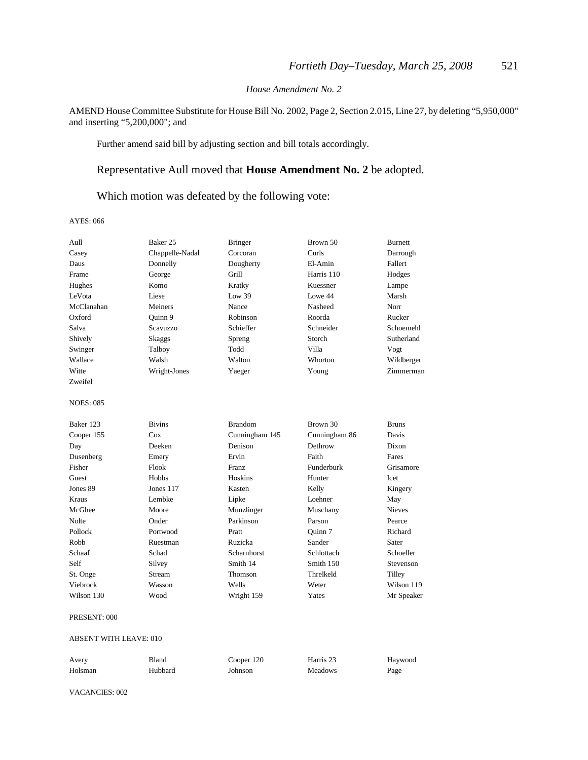#### *House Amendment No. 2*

AMEND House Committee Substitute for House Bill No. 2002, Page 2, Section 2.015, Line 27, by deleting "5,950,000" and inserting "5,200,000"; and

Further amend said bill by adjusting section and bill totals accordingly.

# Representative Aull moved that **House Amendment No. 2** be adopted.

Which motion was defeated by the following vote:

AYES: 066

| Aull             | Baker 25        | <b>Bringer</b> | Brown 50      | <b>Burnett</b> |
|------------------|-----------------|----------------|---------------|----------------|
| Casey            | Chappelle-Nadal | Corcoran       | Curls         | Darrough       |
| Daus             | Donnelly        | Dougherty      | El-Amin       | Fallert        |
| Frame            | George          | Grill          | Harris 110    | Hodges         |
| Hughes           | Komo            | Kratky         | Kuessner      | Lampe          |
| LeVota           | Liese           | Low 39         | Lowe 44       | Marsh          |
| McClanahan       | Meiners         | Nance          | Nasheed       | Norr           |
| Oxford           | Ouinn 9         | Robinson       | Roorda        | Rucker         |
| Salva            | Scavuzzo        | Schieffer      | Schneider     | Schoemehl      |
| Shively          | Skaggs          | Spreng         | Storch        | Sutherland     |
| Swinger          | Talboy          | Todd           | Villa         | Vogt           |
| Wallace          | Walsh           | Walton         | Whorton       | Wildberger     |
| Witte            | Wright-Jones    | Yaeger         | Young         | Zimmerman      |
| Zweifel          |                 |                |               |                |
| <b>NOES: 085</b> |                 |                |               |                |
| Baker 123        | <b>Bivins</b>   | <b>Brandom</b> | Brown 30      | <b>Bruns</b>   |
| Cooper 155       | Cox             | Cunningham 145 | Cunningham 86 | Davis          |
| Day              | Deeken          | Denison        | Dethrow       | Dixon          |
| Dusenberg        | Emery           | Ervin          | Faith         | Fares          |
| Fisher           | Flook           | Franz          | Funderburk    | Grisamore      |
| Guest            | Hobbs           | Hoskins        | Hunter        | Icet           |
| Jones 89         | Jones $117$     | Kasten         | Kelly         | Kingery        |
| Kraus            | Lembke          | Lipke          | Loehner       | May            |
| McGhee           | Moore           | Munzlinger     | Muschany      | <b>Nieves</b>  |
| Nolte            | Onder           | Parkinson      | Parson        | Pearce         |
| Pollock          | Portwood        | Pratt          | Ouinn 7       | Richard        |
| Robb             | Ruestman        | Ruzicka        | Sander        | Sater          |
| Schaaf           | Schad           | Scharnhorst    | Schlottach    | Schoeller      |
| Self             | Silvey          | Smith 14       | Smith 150     | Stevenson      |
| St. Onge         | Stream          | Thomson        | Threlkeld     | Tilley         |
| Viebrock         | Wasson          | Wells          | Weter         | Wilson 119     |
| Wilson 130       | Wood            | Wright 159     | Yates         | Mr Speaker     |

#### PRESENT: 000

#### ABSENT WITH LEAVE: 010

| Avery   | Bland   | Cooper 120 | Harris 23      | Haywood |
|---------|---------|------------|----------------|---------|
| Holsman | Hubbard | Johnson    | <b>Meadows</b> | Page    |

VACANCIES: 002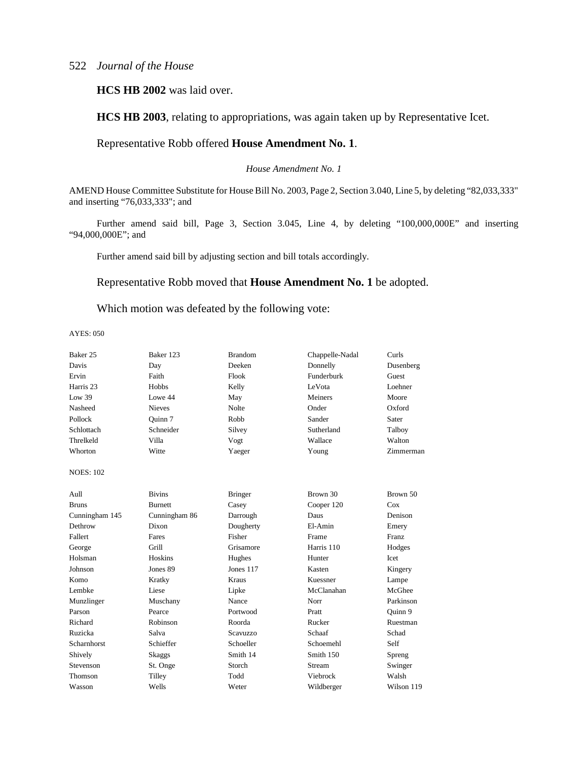**HCS HB 2002** was laid over.

**HCS HB 2003**, relating to appropriations, was again taken up by Representative Icet.

# Representative Robb offered **House Amendment No. 1**.

*House Amendment No. 1*

AMEND House Committee Substitute for House Bill No. 2003, Page 2, Section 3.040, Line 5, by deleting "82,033,333" and inserting "76,033,333"; and

Further amend said bill, Page 3, Section 3.045, Line 4, by deleting "100,000,000E" and inserting "94,000,000E"; and

Further amend said bill by adjusting section and bill totals accordingly.

### Representative Robb moved that **House Amendment No. 1** be adopted.

Which motion was defeated by the following vote:

| Baker 25         | Baker 123      | <b>Brandom</b>  | Chappelle-Nadal | Curls      |
|------------------|----------------|-----------------|-----------------|------------|
| Davis            | Day            | Deeken          | Donnelly        | Dusenberg  |
| Ervin            | Faith          | Flook           | Funderburk      | Guest      |
| Harris 23        | Hobbs          | Kelly           | LeVota          | Loehner    |
| Low 39           | Lowe 44        | May             | Meiners         | Moore      |
| Nasheed          | <b>Nieves</b>  | <b>Nolte</b>    | Onder           | Oxford     |
| Pollock          | Ouinn 7        | Robb            | Sander          | Sater      |
| Schlottach       | Schneider      | Silvey          | Sutherland      | Talboy     |
| Threlkeld        | Villa          | Vogt            | Wallace         | Walton     |
| Whorton          | Witte          | Yaeger          | Young           | Zimmerman  |
| <b>NOES: 102</b> |                |                 |                 |            |
| Aull             | <b>Bivins</b>  | <b>Bringer</b>  | Brown 30        | Brown 50   |
| <b>Bruns</b>     | <b>Burnett</b> | Casey           | Cooper 120      | Cox        |
| Cunningham 145   | Cunningham 86  | Darrough        | Daus            | Denison    |
| Dethrow          | Dixon          | Dougherty       | El-Amin         | Emery      |
| Fallert          | Fares          | Fisher          | Frame           | Franz      |
| George           | Grill          | Grisamore       | Harris 110      | Hodges     |
| Holsman          | <b>Hoskins</b> | Hughes          | Hunter          | Icet       |
| Johnson          | Jones 89       | Jones 117       | Kasten          | Kingery    |
| Komo             | Kratky         | Kraus           | Kuessner        | Lampe      |
| Lembke           | Liese          | Lipke           | McClanahan      | McGhee     |
| Munzlinger       | Muschany       | Nance           | Norr            | Parkinson  |
| Parson           | Pearce         | Portwood        | Pratt           | Quinn 9    |
| Richard          | Robinson       | Roorda          | Rucker          | Ruestman   |
| Ruzicka          | Salva          | <b>Scavuzzo</b> | Schaaf          | Schad      |
| Scharnhorst      | Schieffer      | Schoeller       | Schoemehl       | Self       |
| Shively          | <b>Skaggs</b>  | Smith 14        | Smith 150       | Spreng     |
| Stevenson        | St. Onge       | Storch          | Stream          | Swinger    |
| Thomson          | Tilley         | Todd            | Viebrock        | Walsh      |
| Wasson           | Wells          | Weter           | Wildberger      | Wilson 119 |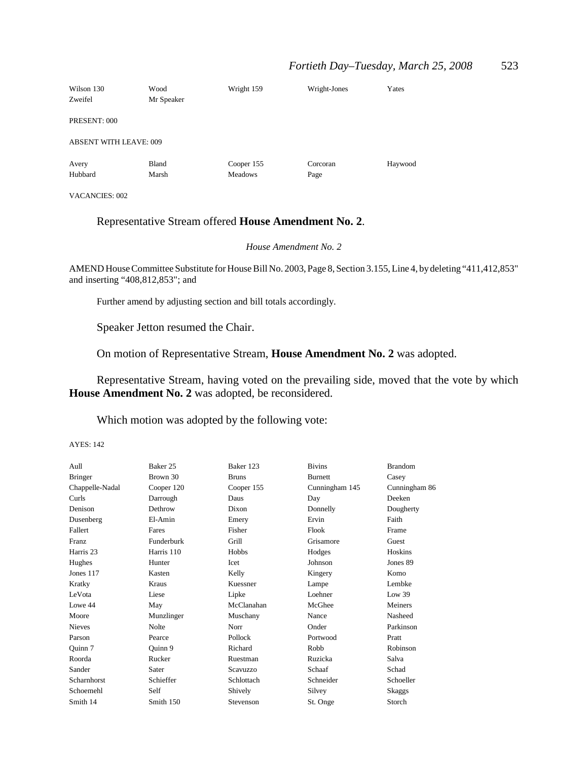### *Fortieth Day–Tuesday, March 25, 2008* 523

| Wilson 130<br>Zweifel         | Wood<br>Mr Speaker | Wright 159                   | Wright-Jones     | Yates   |
|-------------------------------|--------------------|------------------------------|------------------|---------|
| PRESENT: 000                  |                    |                              |                  |         |
| <b>ABSENT WITH LEAVE: 009</b> |                    |                              |                  |         |
| Avery<br>Hubbard              | Bland<br>Marsh     | Cooper 155<br><b>Meadows</b> | Corcoran<br>Page | Haywood |

VACANCIES: 002

# Representative Stream offered **House Amendment No. 2**.

*House Amendment No. 2*

AMEND House Committee Substitute for House Bill No. 2003, Page 8, Section 3.155, Line 4, by deleting "411,412,853" and inserting "408,812,853"; and

Further amend by adjusting section and bill totals accordingly.

Speaker Jetton resumed the Chair.

On motion of Representative Stream, **House Amendment No. 2** was adopted.

Representative Stream, having voted on the prevailing side, moved that the vote by which **House Amendment No. 2** was adopted, be reconsidered.

Which motion was adopted by the following vote:

| Aull                 | Baker 25   | Baker 123    | <b>Bivins</b>  | <b>Brandom</b> |
|----------------------|------------|--------------|----------------|----------------|
| <b>Bringer</b>       | Brown 30   | <b>Bruns</b> | <b>Burnett</b> | Casey          |
| Chappelle-Nadal      | Cooper 120 | Cooper 155   | Cunningham 145 | Cunningham 86  |
| Curls                | Darrough   | Daus         | Day            | Deeken         |
| Denison              | Dethrow    | Dixon        | Donnelly       | Dougherty      |
| Dusenberg            | El-Amin    | Emery        | Ervin          | Faith          |
| Fallert              | Fares      | Fisher       | Flook          | Frame          |
| <b>Franz</b>         | Funderburk | Grill        | Grisamore      | Guest          |
| Harris <sub>23</sub> | Harris 110 | Hobbs        | Hodges         | Hoskins        |
| Hughes               | Hunter     | Icet         | Johnson        | Jones 89       |
| Jones 117            | Kasten     | Kelly        | Kingery        | Komo           |
| Kratky               | Kraus      | Kuessner     | Lampe          | Lembke         |
| LeVota               | Liese      | Lipke        | Loehner        | Low 39         |
| Lowe 44              | May        | McClanahan   | McGhee         | Meiners        |
| Moore                | Munzlinger | Muschany     | Nance          | Nasheed        |
| <b>Nieves</b>        | Nolte      | Norr         | Onder          | Parkinson      |
| Parson               | Pearce     | Pollock      | Portwood       | Pratt          |
| Quinn 7              | Quinn 9    | Richard      | Robb           | Robinson       |
| Roorda               | Rucker     | Ruestman     | Ruzicka        | Salva          |
| Sander               | Sater      | Scavuzzo     | Schaaf         | Schad          |
| Scharnhorst          | Schieffer  | Schlottach   | Schneider      | Schoeller      |
| Schoemehl            | Self       | Shively      | Silvey         | Skaggs         |
| Smith 14             | Smith 150  | Stevenson    | St. Onge       | Storch         |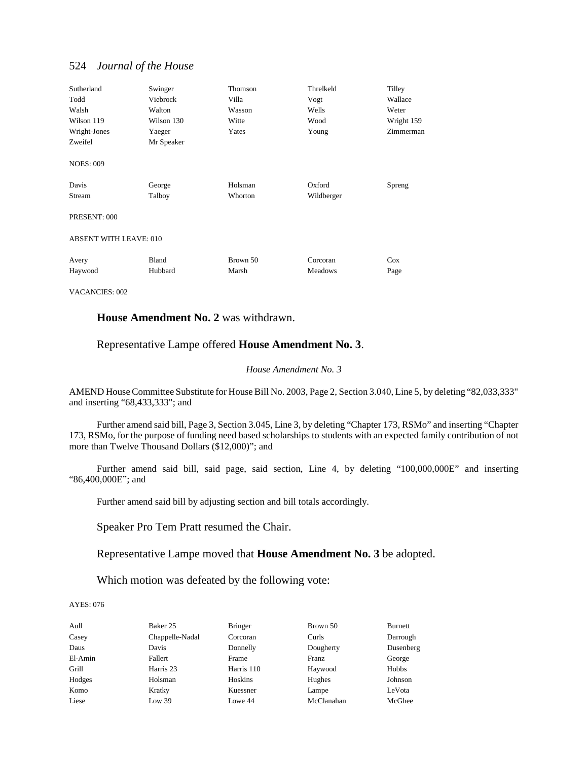| Sutherland<br>Todd<br>Walsh<br>Wilson 119<br>Wright-Jones<br>Zweifel<br><b>NOES: 009</b> | Swinger<br>Viebrock<br>Walton<br>Wilson 130<br>Yaeger<br>Mr Speaker | Thomson<br>Villa<br>Wasson<br>Witte<br>Yates | Threlkeld<br>Vogt<br>Wells<br>Wood<br>Young | Tilley<br>Wallace<br>Weter<br>Wright 159<br>Zimmerman |  |
|------------------------------------------------------------------------------------------|---------------------------------------------------------------------|----------------------------------------------|---------------------------------------------|-------------------------------------------------------|--|
| Davis<br><b>Stream</b><br>PRESENT: 000                                                   | George<br>Talboy                                                    | Holsman<br>Whorton                           | Oxford<br>Wildberger                        | Spreng                                                |  |
| <b>ABSENT WITH LEAVE: 010</b>                                                            |                                                                     |                                              |                                             |                                                       |  |
| Avery<br>Haywood                                                                         | Bland<br>Hubbard                                                    | Brown 50<br>Marsh                            | Corcoran<br>Meadows                         | Cox<br>Page                                           |  |

VACANCIES: 002

### **House Amendment No. 2** was withdrawn.

### Representative Lampe offered **House Amendment No. 3**.

#### *House Amendment No. 3*

AMEND House Committee Substitute for House Bill No. 2003, Page 2, Section 3.040, Line 5, by deleting "82,033,333" and inserting "68,433,333"; and

Further amend said bill, Page 3, Section 3.045, Line 3, by deleting "Chapter 173, RSMo" and inserting "Chapter 173, RSMo, for the purpose of funding need based scholarships to students with an expected family contribution of not more than Twelve Thousand Dollars (\$12,000)"; and

Further amend said bill, said page, said section, Line 4, by deleting "100,000,000E" and inserting "86,400,000E"; and

Further amend said bill by adjusting section and bill totals accordingly.

Speaker Pro Tem Pratt resumed the Chair.

Representative Lampe moved that **House Amendment No. 3** be adopted.

Which motion was defeated by the following vote:

| Aull    | Baker 25        | <b>Bringer</b> | Brown 50   | <b>Burnett</b> |
|---------|-----------------|----------------|------------|----------------|
| Casey   | Chappelle-Nadal | Corcoran       | Curls      | Darrough       |
| Daus    | Davis           | Donnelly       | Dougherty  | Dusenberg      |
| El-Amin | Fallert         | Frame          | Franz      | George         |
| Grill   | Harris 23       | Harris 110     | Haywood    | Hobbs          |
| Hodges  | Holsman         | Hoskins        | Hughes     | Johnson        |
| Komo    | Kratky          | Kuessner       | Lampe      | LeVota         |
| Liese   | Low 39          | Lowe 44        | McClanahan | McGhee         |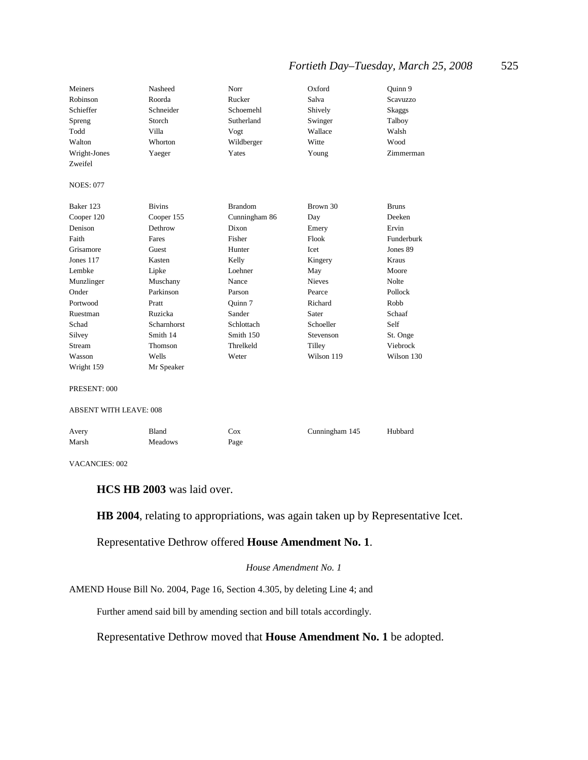# *Fortieth Day–Tuesday, March 25, 2008* 525

| Meiners<br>Robinson<br>Schieffer<br>Spreng<br>Todd<br>Walton<br>Wright-Jones | Nasheed<br>Roorda<br>Schneider<br>Storch<br>Villa<br>Whorton<br>Yaeger | Norr<br>Rucker<br>Schoemehl<br>Sutherland<br>Vogt<br>Wildberger<br>Yates | Oxford<br>Salva<br>Shively<br>Swinger<br>Wallace<br>Witte<br>Young | Quinn 9<br>Scavuzzo<br>Skaggs<br>Talboy<br>Walsh<br>Wood<br>Zimmerman |
|------------------------------------------------------------------------------|------------------------------------------------------------------------|--------------------------------------------------------------------------|--------------------------------------------------------------------|-----------------------------------------------------------------------|
| Zweifel                                                                      |                                                                        |                                                                          |                                                                    |                                                                       |
| <b>NOES: 077</b>                                                             |                                                                        |                                                                          |                                                                    |                                                                       |
| Baker 123                                                                    | <b>Bivins</b>                                                          | <b>Brandom</b>                                                           | Brown 30                                                           | <b>Bruns</b>                                                          |
| Cooper 120                                                                   | Cooper 155                                                             | Cunningham 86                                                            | Day                                                                | Deeken                                                                |
| Denison                                                                      | Dethrow                                                                | Dixon                                                                    | Emery                                                              | Ervin                                                                 |
| Faith                                                                        | Fares                                                                  | Fisher                                                                   | Flook                                                              | Funderburk                                                            |
| Grisamore                                                                    | Guest                                                                  | Hunter                                                                   | Icet                                                               | Jones 89                                                              |
| Jones 117                                                                    | Kasten                                                                 | Kelly                                                                    | Kingery                                                            | <b>Kraus</b>                                                          |
| Lembke                                                                       | Lipke                                                                  | Loehner                                                                  | May                                                                | Moore                                                                 |
| Munzlinger                                                                   | Muschany                                                               | Nance                                                                    | <b>Nieves</b>                                                      | <b>Nolte</b>                                                          |
| Onder                                                                        | Parkinson                                                              | Parson                                                                   | Pearce                                                             | Pollock                                                               |
| Portwood                                                                     | Pratt                                                                  | Ouinn 7                                                                  | Richard                                                            | Robb                                                                  |
| Ruestman                                                                     | Ruzicka                                                                | Sander                                                                   | Sater                                                              | Schaaf                                                                |
| Schad                                                                        | <b>Scharnhorst</b>                                                     | Schlottach                                                               | Schoeller                                                          | Self                                                                  |
| Silvey                                                                       | Smith 14                                                               | Smith 150                                                                | Stevenson                                                          | St. Onge                                                              |
| Stream                                                                       | Thomson                                                                | Threlkeld                                                                | Tilley                                                             | Viebrock                                                              |
| Wasson                                                                       | Wells                                                                  | Weter                                                                    | Wilson 119                                                         | Wilson 130                                                            |
| Wright 159                                                                   | Mr Speaker                                                             |                                                                          |                                                                    |                                                                       |
| PRESENT: 000                                                                 |                                                                        |                                                                          |                                                                    |                                                                       |
| <b>ABSENT WITH LEAVE: 008</b>                                                |                                                                        |                                                                          |                                                                    |                                                                       |
| Avery                                                                        | Bland                                                                  | Cox                                                                      | Cunningham 145                                                     | Hubbard                                                               |
| Marsh                                                                        | Meadows                                                                | Page                                                                     |                                                                    |                                                                       |
| VACANCIES: 002                                                               |                                                                        |                                                                          |                                                                    |                                                                       |

**HCS HB 2003** was laid over.

**HB 2004**, relating to appropriations, was again taken up by Representative Icet.

# Representative Dethrow offered **House Amendment No. 1**.

#### *House Amendment No. 1*

AMEND House Bill No. 2004, Page 16, Section 4.305, by deleting Line 4; and

Further amend said bill by amending section and bill totals accordingly.

Representative Dethrow moved that **House Amendment No. 1** be adopted.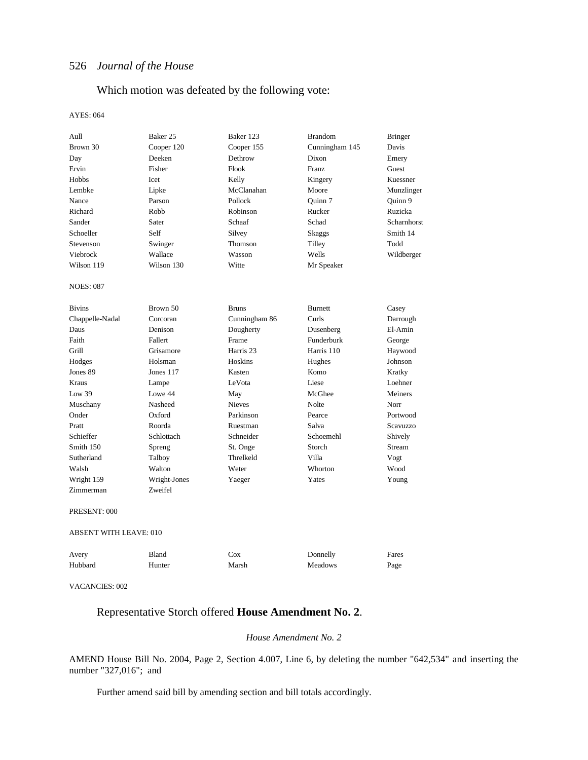# Which motion was defeated by the following vote:

#### AYES: 064

| Aull                          | Baker 25     | Baker 123     | <b>Brandom</b> | <b>Bringer</b> |
|-------------------------------|--------------|---------------|----------------|----------------|
| Brown 30                      | Cooper 120   |               | Cunningham 145 | Davis          |
| Deeken<br>Day                 |              | Dethrow       | Dixon          | Emery          |
| Ervin<br>Fisher               |              | Flook         | Franz          | Guest          |
| <b>Hobbs</b>                  | <b>Icet</b>  | Kelly         | Kingery        | Kuessner       |
| Lembke                        | Lipke        | McClanahan    | Moore          | Munzlinger     |
| Nance                         | Parson       | Pollock       | Quinn 7        | Quinn 9        |
| Richard                       | Robb         | Robinson      | Rucker         | Ruzicka        |
| Sander                        | Sater        | Schaaf        | Schad          | Scharnhorst    |
| Schoeller                     | Self         | Silvey        | <b>Skaggs</b>  | Smith 14       |
| Stevenson                     | Swinger      | Thomson       | Tilley         | Todd           |
| Viebrock                      | Wallace      | Wasson        | Wells          | Wildberger     |
| Wilson 119                    | Wilson 130   | Witte         | Mr Speaker     |                |
| <b>NOES: 087</b>              |              |               |                |                |
| <b>Bivins</b>                 | Brown 50     | <b>Bruns</b>  | <b>Burnett</b> | Casey          |
| Chappelle-Nadal               | Corcoran     | Cunningham 86 | Curls          | Darrough       |
| Daus                          | Denison      | Dougherty     | Dusenberg      | El-Amin        |
| Faith                         | Fallert      | Frame         | Funderburk     | George         |
| Grill                         | Grisamore    | Harris 23     | Harris 110     | Haywood        |
| Hodges                        | Holsman      | Hoskins       | Hughes         | Johnson        |
| Jones 89                      | Jones 117    | Kasten        | Komo           | Kratky         |
| Kraus                         | Lampe        | LeVota        | Liese          | Loehner        |
| Low 39                        | Lowe 44      | May           | McGhee         | Meiners        |
| Muschany                      | Nasheed      | <b>Nieves</b> | Nolte          | Norr           |
| Onder                         | Oxford       | Parkinson     | Pearce         | Portwood       |
| Pratt                         | Roorda       | Ruestman      | Salva          | Scavuzzo       |
| Schieffer                     | Schlottach   | Schneider     | Schoemehl      | Shively        |
| Smith 150                     | Spreng       | St. Onge      | Storch         | Stream         |
| Sutherland                    | Talboy       | Threlkeld     | Villa          | Vogt           |
| Walsh                         | Walton       | Weter         | Whorton        | Wood           |
| Wright 159                    | Wright-Jones | Yaeger        | Yates          | Young          |
| Zimmerman                     | Zweifel      |               |                |                |
| PRESENT: 000                  |              |               |                |                |
| <b>ABSENT WITH LEAVE: 010</b> |              |               |                |                |
| Avery                         | Bland        | Cox           | Donnelly       | Fares          |
| Hubbard                       | Hunter       | Marsh         | Meadows        | Page           |
|                               |              |               |                |                |

VACANCIES: 002

# Representative Storch offered **House Amendment No. 2**.

#### *House Amendment No. 2*

AMEND House Bill No. 2004, Page 2, Section 4.007, Line 6, by deleting the number "642,534" and inserting the number "327,016"; and

Further amend said bill by amending section and bill totals accordingly.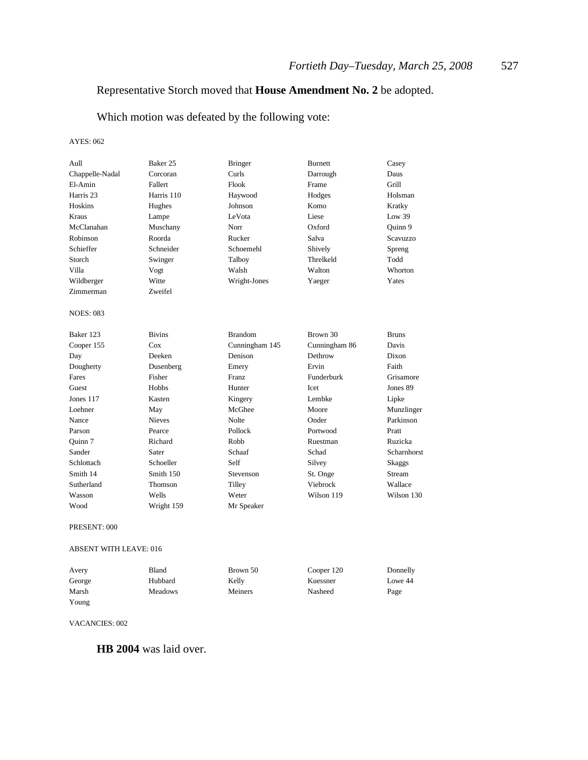# Representative Storch moved that **House Amendment No. 2** be adopted.

Which motion was defeated by the following vote:

AYES: 062

| Aull             | Baker 25      | <b>Bringer</b> | <b>Burnett</b> | Casey           |
|------------------|---------------|----------------|----------------|-----------------|
| Chappelle-Nadal  | Corcoran      | Curls          | Darrough       | Daus            |
| El-Amin          | Fallert       | Flook          | Frame          | Grill           |
|                  |               |                |                |                 |
| Harris 23        | Harris 110    | Haywood        | Hodges         | Holsman         |
| <b>Hoskins</b>   | Hughes        | Johnson        | Komo           | Kratky          |
| Kraus            | Lampe         | LeVota         | Liese          | Low 39          |
| McClanahan       | Muschany      | Norr           | Oxford         | Quinn 9         |
| Robinson         | Roorda        | Rucker         | Salva          | <b>Scavuzzo</b> |
| Schieffer        | Schneider     | Schoemehl      | Shively        | Spreng          |
| Storch           | Swinger       | Talboy         | Threlkeld      | Todd            |
| Villa            | Vogt          | Walsh          | Walton         | Whorton         |
| Wildberger       | Witte         | Wright-Jones   | Yaeger         | Yates           |
| Zimmerman        | Zweifel       |                |                |                 |
| <b>NOES: 083</b> |               |                |                |                 |
| Baker 123        | <b>Bivins</b> | <b>Brandom</b> | Brown 30       | <b>Bruns</b>    |
| Cooper 155       | Cox           | Cunningham 145 | Cunningham 86  | Davis           |
| Day              | Deeken        | Denison        | Dethrow        | Dixon           |
| Dougherty        | Dusenberg     | Emery          | Ervin          | Faith           |
| Fares            | Fisher        | Franz          | Funderburk     | Grisamore       |
| Guest            | Hobbs         | Hunter         | <b>I</b> cet   | Jones 89        |
| Jones 117        | Kasten        | Kingery        | Lembke         | Lipke           |
| Loehner          | May           | McGhee         | Moore          | Munzlinger      |
| Nance            | <b>Nieves</b> | Nolte          | Onder          | Parkinson       |
| Parson           | Pearce        | Pollock        | Portwood       | Pratt           |
| Ouinn 7          | Richard       | Robb           | Ruestman       | Ruzicka         |
| Sander           | Sater         | Schaaf         | Schad          | Scharnhorst     |
| Schlottach       | Schoeller     | Self           | Silvey         | <b>Skaggs</b>   |
| Smith 14         | Smith 150     | Stevenson      | St. Onge       | Stream          |
| Sutherland       | Thomson       | Tilley         | Viebrock       | Wallace         |
| Wasson           | Wells         | Weter          | Wilson 119     | Wilson 130      |
| Wood             | Wright 159    | Mr Speaker     |                |                 |
| PRESENT: 000     |               |                |                |                 |

#### ABSENT WITH LEAVE: 016

| Avery  | Bland          | Brown 50 | Cooper 120 | Donnelly |
|--------|----------------|----------|------------|----------|
| George | Hubbard        | Kelly    | Kuessner   | Lowe 44  |
| Marsh  | <b>Meadows</b> | Meiners  | Nasheed    | Page     |
| Young  |                |          |            |          |

VACANCIES: 002

**HB 2004** was laid over.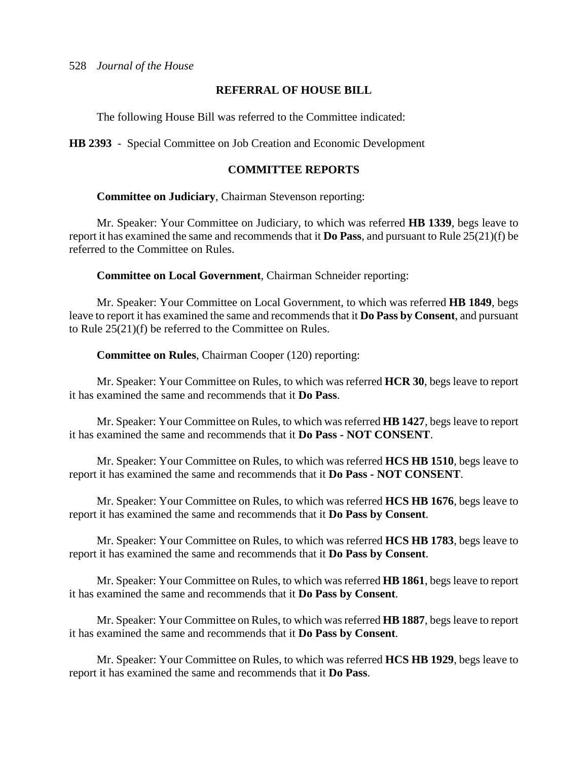# **REFERRAL OF HOUSE BILL**

The following House Bill was referred to the Committee indicated:

**HB 2393** - Special Committee on Job Creation and Economic Development

# **COMMITTEE REPORTS**

**Committee on Judiciary**, Chairman Stevenson reporting:

Mr. Speaker: Your Committee on Judiciary, to which was referred **HB 1339**, begs leave to report it has examined the same and recommends that it **Do Pass**, and pursuant to Rule 25(21)(f) be referred to the Committee on Rules.

**Committee on Local Government**, Chairman Schneider reporting:

Mr. Speaker: Your Committee on Local Government, to which was referred **HB 1849**, begs leave to report it has examined the same and recommends that it **Do Pass by Consent**, and pursuant to Rule 25(21)(f) be referred to the Committee on Rules.

**Committee on Rules**, Chairman Cooper (120) reporting:

Mr. Speaker: Your Committee on Rules, to which was referred **HCR 30**, begs leave to report it has examined the same and recommends that it **Do Pass**.

Mr. Speaker: Your Committee on Rules, to which was referred **HB 1427**, begs leave to report it has examined the same and recommends that it **Do Pass - NOT CONSENT**.

Mr. Speaker: Your Committee on Rules, to which was referred **HCS HB 1510**, begs leave to report it has examined the same and recommends that it **Do Pass - NOT CONSENT**.

Mr. Speaker: Your Committee on Rules, to which was referred **HCS HB 1676**, begs leave to report it has examined the same and recommends that it **Do Pass by Consent**.

Mr. Speaker: Your Committee on Rules, to which was referred **HCS HB 1783**, begs leave to report it has examined the same and recommends that it **Do Pass by Consent**.

Mr. Speaker: Your Committee on Rules, to which was referred **HB 1861**, begs leave to report it has examined the same and recommends that it **Do Pass by Consent**.

Mr. Speaker: Your Committee on Rules, to which was referred **HB 1887**, begs leave to report it has examined the same and recommends that it **Do Pass by Consent**.

Mr. Speaker: Your Committee on Rules, to which was referred **HCS HB 1929**, begs leave to report it has examined the same and recommends that it **Do Pass**.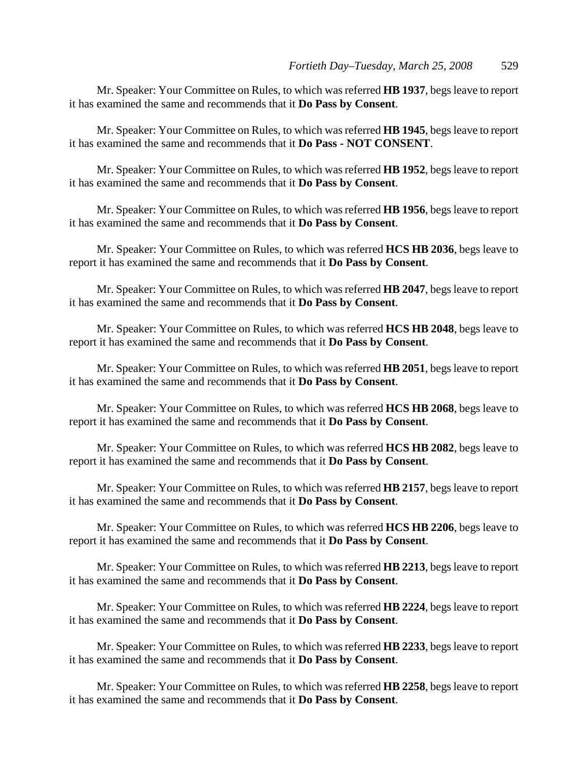Mr. Speaker: Your Committee on Rules, to which was referred **HB 1937**, begs leave to report it has examined the same and recommends that it **Do Pass by Consent**.

Mr. Speaker: Your Committee on Rules, to which was referred **HB 1945**, begs leave to report it has examined the same and recommends that it **Do Pass - NOT CONSENT**.

Mr. Speaker: Your Committee on Rules, to which was referred **HB 1952**, begs leave to report it has examined the same and recommends that it **Do Pass by Consent**.

Mr. Speaker: Your Committee on Rules, to which was referred **HB 1956**, begs leave to report it has examined the same and recommends that it **Do Pass by Consent**.

Mr. Speaker: Your Committee on Rules, to which was referred **HCS HB 2036**, begs leave to report it has examined the same and recommends that it **Do Pass by Consent**.

Mr. Speaker: Your Committee on Rules, to which was referred **HB 2047**, begs leave to report it has examined the same and recommends that it **Do Pass by Consent**.

Mr. Speaker: Your Committee on Rules, to which was referred **HCS HB 2048**, begs leave to report it has examined the same and recommends that it **Do Pass by Consent**.

Mr. Speaker: Your Committee on Rules, to which was referred **HB 2051**, begs leave to report it has examined the same and recommends that it **Do Pass by Consent**.

Mr. Speaker: Your Committee on Rules, to which was referred **HCS HB 2068**, begs leave to report it has examined the same and recommends that it **Do Pass by Consent**.

Mr. Speaker: Your Committee on Rules, to which was referred **HCS HB 2082**, begs leave to report it has examined the same and recommends that it **Do Pass by Consent**.

Mr. Speaker: Your Committee on Rules, to which was referred **HB 2157**, begs leave to report it has examined the same and recommends that it **Do Pass by Consent**.

Mr. Speaker: Your Committee on Rules, to which was referred **HCS HB 2206**, begs leave to report it has examined the same and recommends that it **Do Pass by Consent**.

Mr. Speaker: Your Committee on Rules, to which was referred **HB 2213**, begs leave to report it has examined the same and recommends that it **Do Pass by Consent**.

Mr. Speaker: Your Committee on Rules, to which was referred **HB 2224**, begs leave to report it has examined the same and recommends that it **Do Pass by Consent**.

Mr. Speaker: Your Committee on Rules, to which was referred **HB 2233**, begs leave to report it has examined the same and recommends that it **Do Pass by Consent**.

Mr. Speaker: Your Committee on Rules, to which was referred **HB 2258**, begs leave to report it has examined the same and recommends that it **Do Pass by Consent**.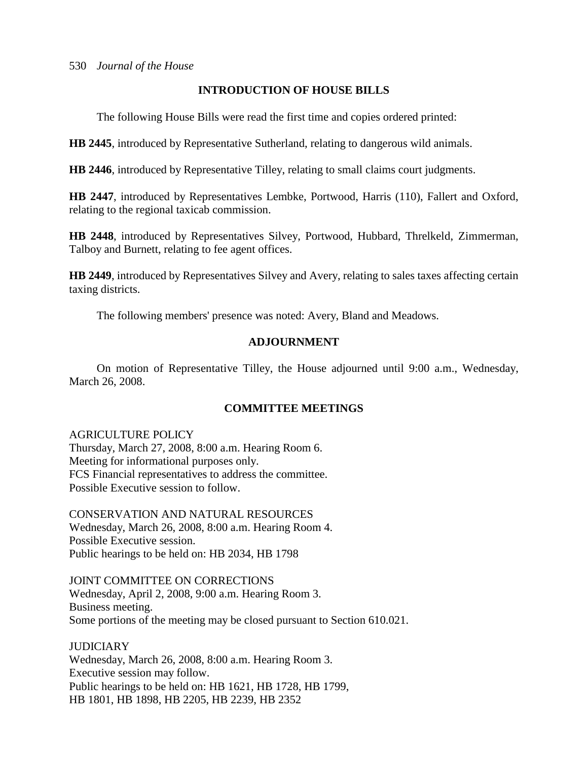# **INTRODUCTION OF HOUSE BILLS**

The following House Bills were read the first time and copies ordered printed:

**HB 2445**, introduced by Representative Sutherland, relating to dangerous wild animals.

**HB 2446**, introduced by Representative Tilley, relating to small claims court judgments.

**HB 2447**, introduced by Representatives Lembke, Portwood, Harris (110), Fallert and Oxford, relating to the regional taxicab commission.

**HB 2448**, introduced by Representatives Silvey, Portwood, Hubbard, Threlkeld, Zimmerman, Talboy and Burnett, relating to fee agent offices.

**HB 2449**, introduced by Representatives Silvey and Avery, relating to sales taxes affecting certain taxing districts.

The following members' presence was noted: Avery, Bland and Meadows.

# **ADJOURNMENT**

On motion of Representative Tilley, the House adjourned until 9:00 a.m., Wednesday, March 26, 2008.

# **COMMITTEE MEETINGS**

# AGRICULTURE POLICY

Thursday, March 27, 2008, 8:00 a.m. Hearing Room 6. Meeting for informational purposes only. FCS Financial representatives to address the committee. Possible Executive session to follow.

CONSERVATION AND NATURAL RESOURCES Wednesday, March 26, 2008, 8:00 a.m. Hearing Room 4. Possible Executive session. Public hearings to be held on: HB 2034, HB 1798

JOINT COMMITTEE ON CORRECTIONS Wednesday, April 2, 2008, 9:00 a.m. Hearing Room 3. Business meeting. Some portions of the meeting may be closed pursuant to Section 610.021.

**JUDICIARY** Wednesday, March 26, 2008, 8:00 a.m. Hearing Room 3. Executive session may follow. Public hearings to be held on: HB 1621, HB 1728, HB 1799, HB 1801, HB 1898, HB 2205, HB 2239, HB 2352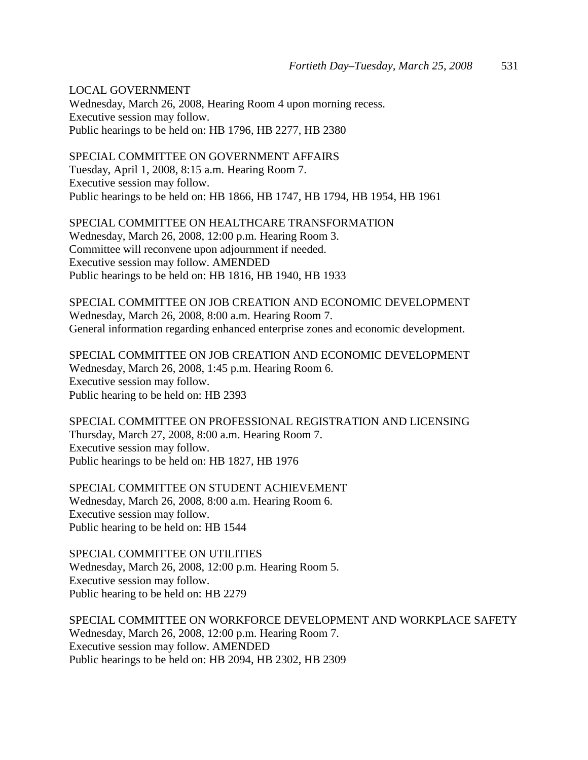LOCAL GOVERNMENT

Wednesday, March 26, 2008, Hearing Room 4 upon morning recess. Executive session may follow. Public hearings to be held on: HB 1796, HB 2277, HB 2380

SPECIAL COMMITTEE ON GOVERNMENT AFFAIRS Tuesday, April 1, 2008, 8:15 a.m. Hearing Room 7. Executive session may follow. Public hearings to be held on: HB 1866, HB 1747, HB 1794, HB 1954, HB 1961

SPECIAL COMMITTEE ON HEALTHCARE TRANSFORMATION Wednesday, March 26, 2008, 12:00 p.m. Hearing Room 3. Committee will reconvene upon adjournment if needed. Executive session may follow. AMENDED Public hearings to be held on: HB 1816, HB 1940, HB 1933

SPECIAL COMMITTEE ON JOB CREATION AND ECONOMIC DEVELOPMENT Wednesday, March 26, 2008, 8:00 a.m. Hearing Room 7. General information regarding enhanced enterprise zones and economic development.

SPECIAL COMMITTEE ON JOB CREATION AND ECONOMIC DEVELOPMENT Wednesday, March 26, 2008, 1:45 p.m. Hearing Room 6. Executive session may follow. Public hearing to be held on: HB 2393

SPECIAL COMMITTEE ON PROFESSIONAL REGISTRATION AND LICENSING Thursday, March 27, 2008, 8:00 a.m. Hearing Room 7. Executive session may follow. Public hearings to be held on: HB 1827, HB 1976

SPECIAL COMMITTEE ON STUDENT ACHIEVEMENT Wednesday, March 26, 2008, 8:00 a.m. Hearing Room 6. Executive session may follow. Public hearing to be held on: HB 1544

SPECIAL COMMITTEE ON UTILITIES Wednesday, March 26, 2008, 12:00 p.m. Hearing Room 5. Executive session may follow. Public hearing to be held on: HB 2279

SPECIAL COMMITTEE ON WORKFORCE DEVELOPMENT AND WORKPLACE SAFETY Wednesday, March 26, 2008, 12:00 p.m. Hearing Room 7. Executive session may follow. AMENDED Public hearings to be held on: HB 2094, HB 2302, HB 2309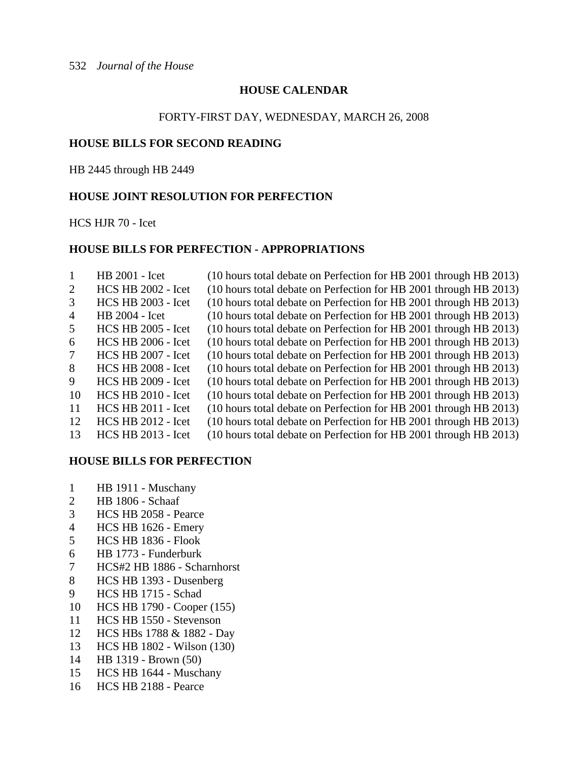# **HOUSE CALENDAR**

### FORTY-FIRST DAY, WEDNESDAY, MARCH 26, 2008

# **HOUSE BILLS FOR SECOND READING**

HB 2445 through HB 2449

# **HOUSE JOINT RESOLUTION FOR PERFECTION**

HCS HJR 70 - Icet

## **HOUSE BILLS FOR PERFECTION - APPROPRIATIONS**

|                | HB 2001 - Icet            | (10 hours total debate on Perfection for HB 2001 through HB 2013) |
|----------------|---------------------------|-------------------------------------------------------------------|
| 2              | <b>HCS HB 2002 - Icet</b> | (10 hours total debate on Perfection for HB 2001 through HB 2013) |
| 3              | <b>HCS HB 2003 - Icet</b> | (10 hours total debate on Perfection for HB 2001 through HB 2013) |
| $\overline{4}$ | HB 2004 - Icet            | (10 hours total debate on Perfection for HB 2001 through HB 2013) |
| 5              | <b>HCS HB 2005 - Icet</b> | (10 hours total debate on Perfection for HB 2001 through HB 2013) |
| 6              | <b>HCS HB 2006 - Icet</b> | (10 hours total debate on Perfection for HB 2001 through HB 2013) |
| 7              | <b>HCS HB 2007 - Icet</b> | (10 hours total debate on Perfection for HB 2001 through HB 2013) |
| 8              | <b>HCS HB 2008 - Icet</b> | (10 hours total debate on Perfection for HB 2001 through HB 2013) |
| 9              | <b>HCS HB 2009 - Icet</b> | (10 hours total debate on Perfection for HB 2001 through HB 2013) |
| 10             | <b>HCS HB 2010 - Icet</b> | (10 hours total debate on Perfection for HB 2001 through HB 2013) |
| 11             | <b>HCS HB 2011 - Icet</b> | (10 hours total debate on Perfection for HB 2001 through HB 2013) |
| 12             | <b>HCS HB 2012 - Icet</b> | (10 hours total debate on Perfection for HB 2001 through HB 2013) |
| 13             | <b>HCS HB 2013 - Icet</b> | (10 hours total debate on Perfection for HB 2001 through HB 2013) |

### **HOUSE BILLS FOR PERFECTION**

- 1 HB 1911 Muschany
- 2 HB 1806 Schaaf
- 3 HCS HB 2058 Pearce
- 4 HCS HB 1626 Emery
- 5 HCS HB 1836 Flook
- 6 HB 1773 Funderburk
- 7 HCS#2 HB 1886 Scharnhorst
- 8 HCS HB 1393 Dusenberg
- 9 HCS HB 1715 Schad
- 10 HCS HB 1790 Cooper (155)
- 11 HCS HB 1550 Stevenson
- 12 HCS HBs 1788 & 1882 Day
- 13 HCS HB 1802 Wilson (130)
- 14 HB 1319 Brown (50)
- 15 HCS HB 1644 Muschany
- 16 HCS HB 2188 Pearce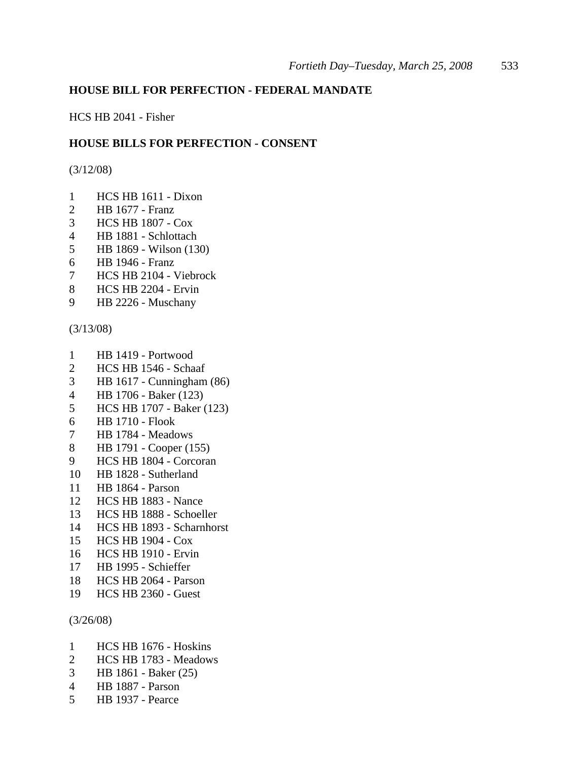## **HOUSE BILL FOR PERFECTION - FEDERAL MANDATE**

HCS HB 2041 - Fisher

### **HOUSE BILLS FOR PERFECTION - CONSENT**

(3/12/08)

- 1 HCS HB 1611 Dixon
- 2 HB 1677 Franz
- 3 HCS HB 1807 Cox
- 4 HB 1881 Schlottach
- 5 HB 1869 Wilson (130)
- 6 HB 1946 Franz
- 7 HCS HB 2104 Viebrock
- 8 HCS HB 2204 Ervin
- 9 HB 2226 Muschany

(3/13/08)

- 1 HB 1419 Portwood
- 2 HCS HB 1546 Schaaf
- 3 HB 1617 Cunningham (86)
- 4 HB 1706 Baker (123)
- 5 HCS HB 1707 Baker (123)
- 6 HB 1710 Flook
- 7 HB 1784 Meadows
- 8 HB 1791 Cooper (155)
- 9 HCS HB 1804 Corcoran
- 10 HB 1828 Sutherland
- 11 HB 1864 Parson
- 12 HCS HB 1883 Nance
- 13 HCS HB 1888 Schoeller
- 14 HCS HB 1893 Scharnhorst
- 15 HCS HB 1904 Cox
- 16 HCS HB 1910 Ervin
- 17 HB 1995 Schieffer
- 18 HCS HB 2064 Parson
- 19 HCS HB 2360 Guest

(3/26/08)

- 1 HCS HB 1676 Hoskins
- 2 HCS HB 1783 Meadows
- 3 HB 1861 Baker (25)
- 4 HB 1887 Parson
- 5 HB 1937 Pearce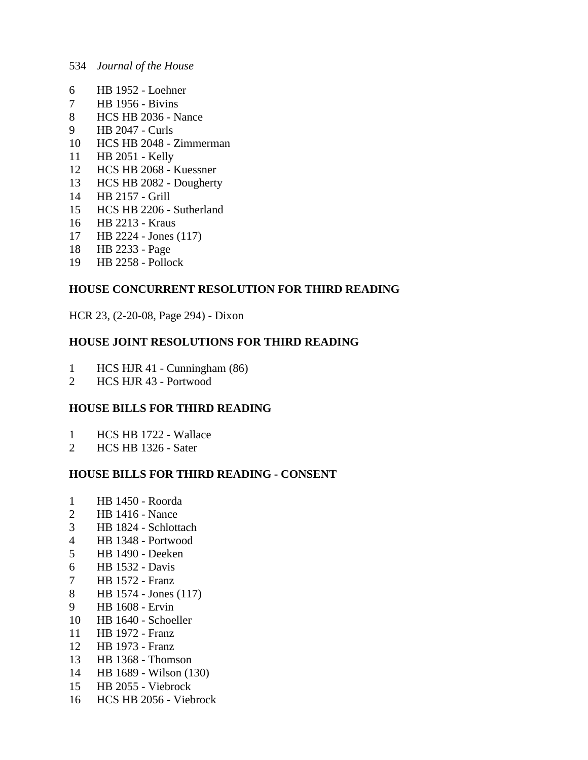- 6 HB 1952 Loehner
- 7 HB 1956 Bivins
- 8 HCS HB 2036 Nance
- 9 HB 2047 Curls
- 10 HCS HB 2048 Zimmerman
- 11 HB 2051 Kelly
- 12 HCS HB 2068 Kuessner
- 13 HCS HB 2082 Dougherty
- 14 HB 2157 Grill
- 15 HCS HB 2206 Sutherland
- 16 HB 2213 Kraus
- 17 HB 2224 Jones (117)
- 18 HB 2233 Page
- 19 HB 2258 Pollock

# **HOUSE CONCURRENT RESOLUTION FOR THIRD READING**

HCR 23, (2-20-08, Page 294) - Dixon

# **HOUSE JOINT RESOLUTIONS FOR THIRD READING**

- 1 HCS HJR 41 Cunningham (86)<br>2 HCS HJR 43 Portwood
- 2 HCS HJR 43 Portwood

# **HOUSE BILLS FOR THIRD READING**

- 1 HCS HB 1722 Wallace
- 2 HCS HB 1326 Sater

# **HOUSE BILLS FOR THIRD READING - CONSENT**

- 1 HB 1450 Roorda
- 2 HB 1416 Nance
- 3 HB 1824 Schlottach
- 4 HB 1348 Portwood
- 5 HB 1490 Deeken
- 6 HB 1532 Davis
- 7 HB 1572 Franz
- 8 HB 1574 Jones (117)
- 9 HB 1608 Ervin
- 10 HB 1640 Schoeller
- 11 HB 1972 Franz
- 12 HB 1973 Franz
- 13 HB 1368 Thomson
- 14 HB 1689 Wilson (130)
- 15 HB 2055 Viebrock
- 16 HCS HB 2056 Viebrock